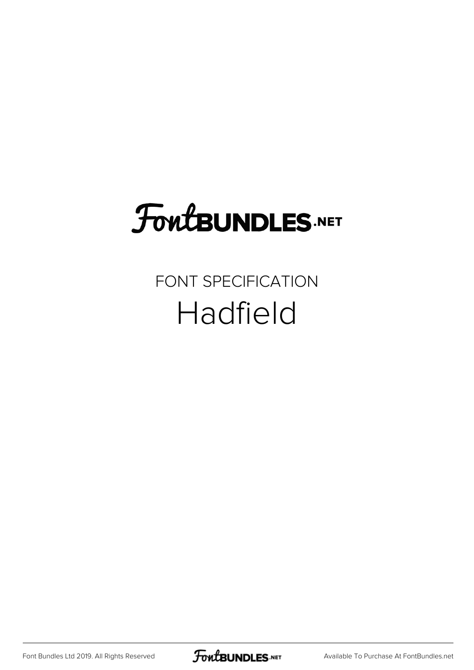### FoutBUNDLES.NET

### FONT SPECIFICATION Hadfield

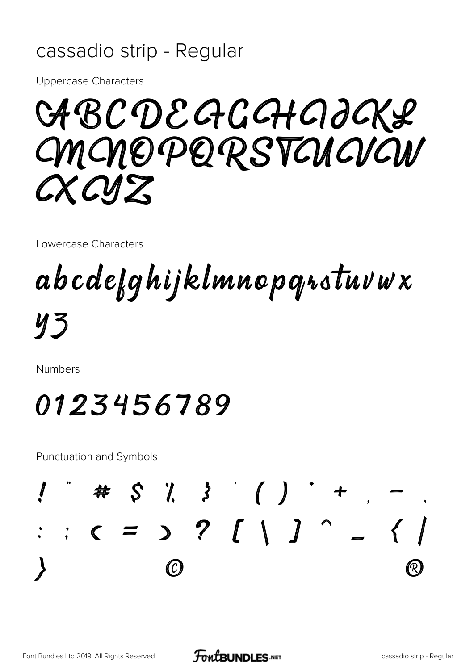#### cassadio strip - Regular

**Uppercase Characters** 

CABCDEGGGHAJOKS CMCNOPORSTCUCUL CX CVZ

Lowercase Characters

### abcdefghijklmnopqrstuvwx **y3**

**Numbers** 

### 0123456789

**Punctuation and Symbols** 

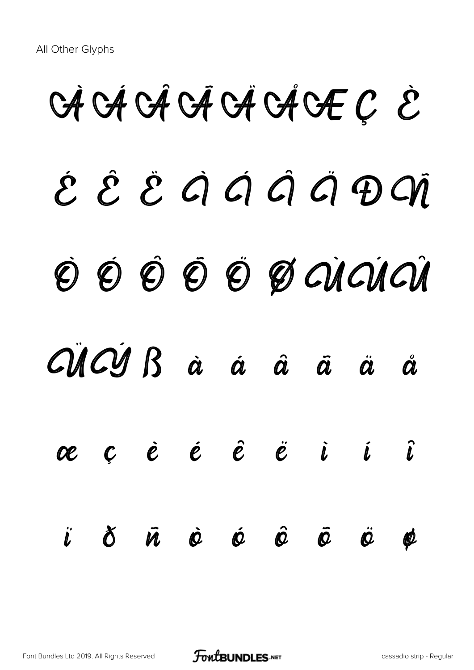# $G \dot A$   $G \dot A$   $G \dot A$   $G \dot A$   $G \dot F \dot C$  $\acute{\mathcal{E}}$   $\acute{\mathcal{E}}$   $\acute{\mathcal{E}}$   $\acute{\mathcal{G}}$   $\acute{\mathcal{G}}$   $\acute{\mathcal{G}}$   $\acute{\mathcal{G}}$   $\acute{\mathcal{G}}$   $\acute{\mathcal{G}}$   $\acute{\mathcal{G}}$ Ò Ó Ô Ô Ô Ø QIQIQI ÜÝ ß à á â ã ä å æ ç è é ê ë ì í î ï ð ñ ò ó ô õ ö ø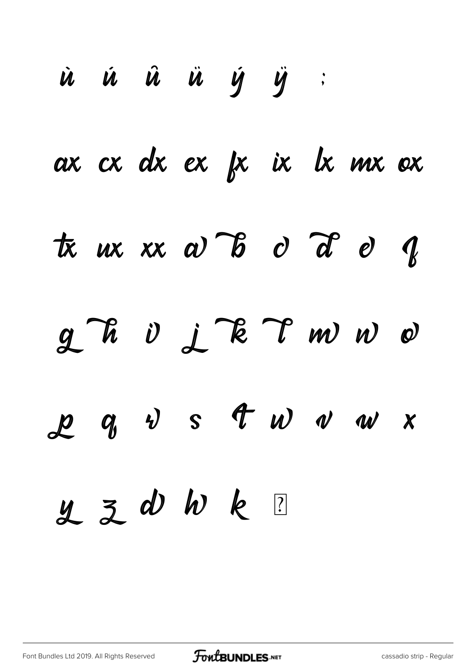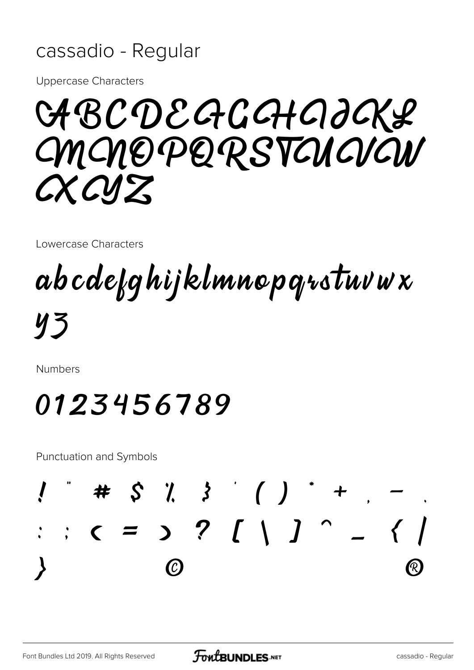#### cassadio - Regular

**Uppercase Characters** 

CABCDEGGGHAJCKL *CMCNOPORSTAICVCW* CXCYZ

Lowercase Characters

## abcdefghijklmnopqrstuvwx

 $yz$ 

**Numbers** 

### 0123456789

**Punctuation and Symbols** 

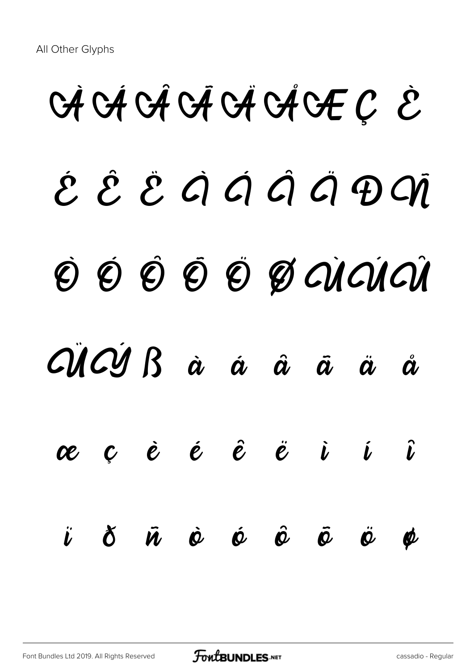# $G \nrightarrow G \nrightarrow G \nrightarrow G \nrightarrow G \nrightarrow G$  $\acute{\mathcal{E}}$   $\mathcal{\mathring{E}}$   $\acute{\mathcal{E}}$   $\acute{\mathcal{G}}$   $\acute{\mathcal{G}}$   $\acute{\mathcal{G}}$   $\acute{\mathcal{G}}$   $\acute{\mathcal{G}}$   $\acute{\mathcal{G}}$   $\acute{\mathcal{G}}$ Ò Ó Ô Õ Ö Ø ÙÚÛ ÜÝ ß à á â ã ä å æ ç è é ê ë ì í î ï ð ñ ò ó ô õ ö ø